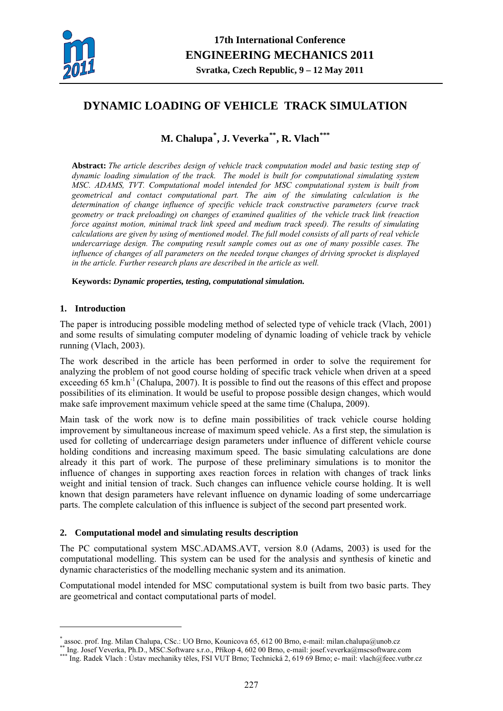

# **DYNAMIC LOADING OF VEHICLE TRACK SIMULATION**

**M. Chalupa[\\*](#page-0-0) , J. Veverka[\\*\\*](#page-0-1), R. Vlach[\\*\\*\\*](#page-0-2)**

**Abstract:** *The article describes design of vehicle track computation model and basic testing step of dynamic loading simulation of the track. The model is built for computational simulating system MSC. ADAMS, TVT. Computational model intended for MSC computational system is built from geometrical and contact computational part. The aim of the simulating calculation is the determination of change influence of specific vehicle track constructive parameters (curve track geometry or track preloading) on changes of examined qualities of the vehicle track link (reaction force against motion, minimal track link speed and medium track speed). The results of simulating calculations are given by using of mentioned model. The full model consists of all parts of real vehicle undercarriage design. The computing result sample comes out as one of many possible cases. The influence of changes of all parameters on the needed torque changes of driving sprocket is displayed in the article. Further research plans are described in the article as well.* 

**Keywords:** *Dynamic properties, testing, computational simulation.* 

#### **1. Introduction**

1

The paper is introducing possible modeling method of selected type of vehicle track (Vlach, 2001) and some results of simulating computer modeling of dynamic loading of vehicle track by vehicle running (Vlach, 2003).

The work described in the article has been performed in order to solve the requirement for analyzing the problem of not good course holding of specific track vehicle when driven at a speed exceeding 65 km.h<sup>-1</sup> (Chalupa, 2007). It is possible to find out the reasons of this effect and propose possibilities of its elimination. It would be useful to propose possible design changes, which would make safe improvement maximum vehicle speed at the same time (Chalupa, 2009).

Main task of the work now is to define main possibilities of track vehicle course holding improvement by simultaneous increase of maximum speed vehicle. As a first step, the simulation is used for colleting of undercarriage design parameters under influence of different vehicle course holding conditions and increasing maximum speed. The basic simulating calculations are done already it this part of work. The purpose of these preliminary simulations is to monitor the influence of changes in supporting axes reaction forces in relation with changes of track links weight and initial tension of track. Such changes can influence vehicle course holding. It is well known that design parameters have relevant influence on dynamic loading of some undercarriage parts. The complete calculation of this influence is subject of the second part presented work.

#### **2. Computational model and simulating results description**

The PC computational system MSC.ADAMS.AVT, version 8.0 (Adams, 2003) is used for the computational modelling. This system can be used for the analysis and synthesis of kinetic and dynamic characteristics of the modelling mechanic system and its animation.

Computational model intended for MSC computational system is built from two basic parts. They are geometrical and contact computational parts of model.

assoc. prof. Ing. Milan Chalupa, CSc.: UO Brno, Kounicova 65, 612 00 Brno, e-mail: milan.chalupa@unob.cz

<span id="page-0-1"></span><span id="page-0-0"></span><sup>&</sup>lt;sup>\*\*</sup> Ing. Josef Veverka, Ph.D., MSC.Software s.r.o., Příkop 4, 602 00 Brno, e-mail: josef.veverka@mscsoftware.com<br><sup>\*\*\*</sup> Ing. Radek Vlach : Ústav mechaniky těles, FSI VUT Brno; Technická 2, 619 69 Brno; e- mail: vlach@feec.

<span id="page-0-2"></span>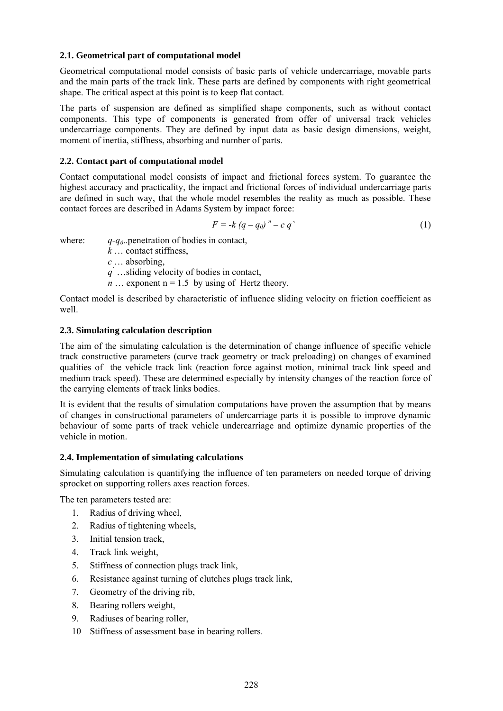### **2.1. Geometrical part of computational model**

Geometrical computational model consists of basic parts of vehicle undercarriage, movable parts and the main parts of the track link. These parts are defined by components with right geometrical shape. The critical aspect at this point is to keep flat contact.

The parts of suspension are defined as simplified shape components, such as without contact components. This type of components is generated from offer of universal track vehicles undercarriage components. They are defined by input data as basic design dimensions, weight, moment of inertia, stiffness, absorbing and number of parts.

## **2.2. Contact part of computational model**

Contact computational model consists of impact and frictional forces system. To guarantee the highest accuracy and practicality, the impact and frictional forces of individual undercarriage parts are defined in such way, that the whole model resembles the reality as much as possible. These contact forces are described in Adams System by impact force:

$$
F = -k (q - q_0)^n - c q
$$
 (1)

where:  $q - q_0$ ...penetration of bodies in contact,

*k* … contact stiffness,

*c* … absorbing,

*q***`** …sliding velocity of bodies in contact,

*n* ... exponent  $n = 1.5$  by using of Hertz theory.

Contact model is described by characteristic of influence sliding velocity on friction coefficient as well.

# **2.3. Simulating calculation description**

The aim of the simulating calculation is the determination of change influence of specific vehicle track constructive parameters (curve track geometry or track preloading) on changes of examined qualities of the vehicle track link (reaction force against motion, minimal track link speed and medium track speed). These are determined especially by intensity changes of the reaction force of the carrying elements of track links bodies.

It is evident that the results of simulation computations have proven the assumption that by means of changes in constructional parameters of undercarriage parts it is possible to improve dynamic behaviour of some parts of track vehicle undercarriage and optimize dynamic properties of the vehicle in motion.

# **2.4. Implementation of simulating calculations**

Simulating calculation is quantifying the influence of ten parameters on needed torque of driving sprocket on supporting rollers axes reaction forces.

The ten parameters tested are:

- 1. Radius of driving wheel,
- 2. Radius of tightening wheels,
- 3. Initial tension track,
- 4. Track link weight,
- 5. Stiffness of connection plugs track link,
- 6. Resistance against turning of clutches plugs track link,
- 7. Geometry of the driving rib,
- 8. Bearing rollers weight,
- 9. Radiuses of bearing roller,
- 10 Stiffness of assessment base in bearing rollers.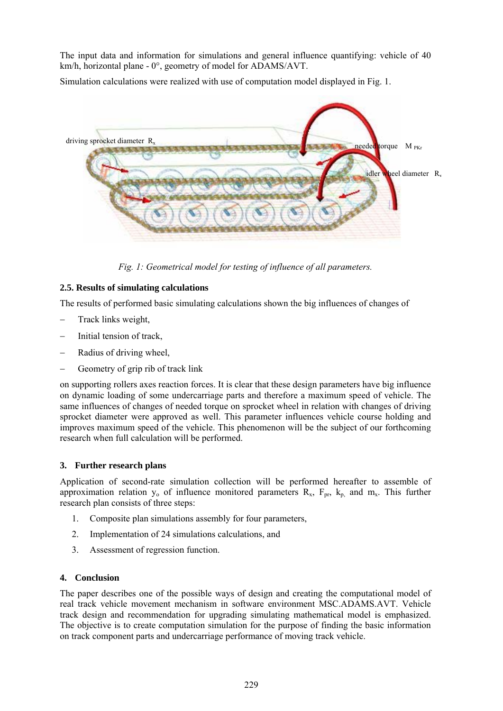The input data and information for simulations and general influence quantifying: vehicle of 40 km/h, horizontal plane - 0°, geometry of model for ADAMS/AVT.

Simulation calculations were realized with use of computation model displayed in Fig. 1.



*Fig. 1: Geometrical model for testing of influence of all parameters.* 

# **2.5. Results of simulating calculations**

The results of performed basic simulating calculations shown the big influences of changes of

- Track links weight,
- Initial tension of track,
- Radius of driving wheel,
- − Geometry of grip rib of track link

on supporting rollers axes reaction forces. It is clear that these design parameters have big influence on dynamic loading of some undercarriage parts and therefore a maximum speed of vehicle. The same influences of changes of needed torque on sprocket wheel in relation with changes of driving sprocket diameter were approved as well. This parameter influences vehicle course holding and improves maximum speed of the vehicle. This phenomenon will be the subject of our forthcoming research when full calculation will be performed.

# **3. Further research plans**

Application of second-rate simulation collection will be performed hereafter to assemble of approximation relation  $y_0$  of influence monitored parameters  $R_x$ ,  $F_{pr}$ ,  $k_p$ , and  $m_x$ . This further research plan consists of three steps:

- 1. Composite plan simulations assembly for four parameters,
- 2. Implementation of 24 simulations calculations, and
- 3. Assessment of regression function.

### **4. Conclusion**

The paper describes one of the possible ways of design and creating the computational model of real track vehicle movement mechanism in software environment MSC.ADAMS.AVT. Vehicle track design and recommendation for upgrading simulating mathematical model is emphasized. The objective is to create computation simulation for the purpose of finding the basic information on track component parts and undercarriage performance of moving track vehicle.